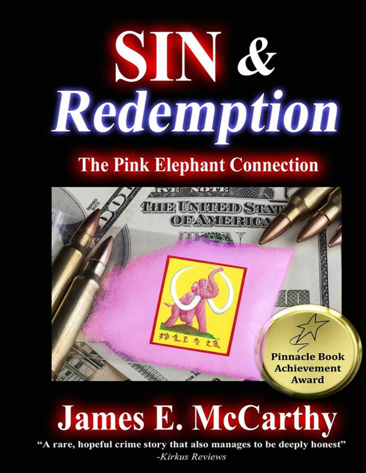# SIN& Redemption

### **The Pink Elephant Connection**



## **James E. McCarthy**

"A rare, hopeful crime story that also manages to be deeply honest" -Kirkus Reviews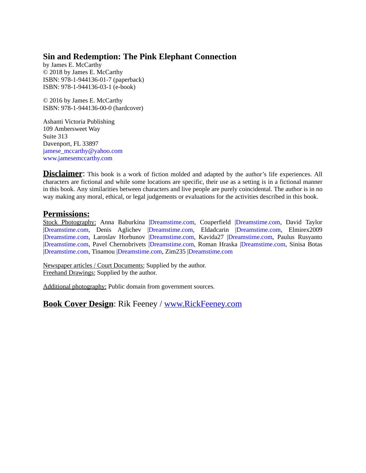#### **Sin and Redemption: The Pink Elephant Connection**

by James E. McCarthy © 2018 by James E. McCarthy ISBN: 978-1-944136-01-7 (paperback) ISBN: 978-1-944136-03-1 (e-book)

© 2016 by James E. McCarthy ISBN: 978-1-944136-00-0 (hardcover)

Ashanti Victoria Publishing 109 Ambersweet Way Suite 313 Davenport, FL 33897 [jamese\\_mccarthy@yahoo.com](mailto:jamese_mccarthy@yahoo.com) [www.jamesemccarthy.com](http://www.jamesemccarthy.com)

**Disclaimer**: This book is a work of fiction molded and adapted by the author's life experiences. All characters are fictional and while some locations are specific, their use as a setting is in a fictional manner in this book. Any similarities between characters and live people are purely coincidental. The author is in no way making any moral, ethical, or legal judgements or evaluations for the activities described in this book.

#### **Permissions:**

Stock Photography: Anna Baburkina [|Dreamstime.com](http://Dreamstime.com), Couperfield |[Dreamstime.com,](http://Dreamstime.com) David Taylor [|Dreamstime.com](http://Dreamstime.com), Denis Aglichev |[Dreamstime.com,](http://Dreamstime.com) Eldadcarin |[Dreamstime.com,](http://Dreamstime.com) Elmirex2009 [|Dreamstime.com](http://Dreamstime.com), Laroslav Horbunov |[Dreamstime.com,](http://Dreamstime.com) Kavida27 |[Dreamstime.com,](http://Dreamstime.com) Paulus Rusyanto [|Dreamstime.com](http://Dreamstime.com), Pavel Chernobrivets |[Dreamstime.com,](http://Dreamstime.com) Roman Hraska |[Dreamstime.com,](http://Dreamstime.com) Sinisa Botas [|Dreamstime.com](http://Dreamstime.com), Tinamou [|Dreamstime.com](http://Dreamstime.com), Zim235 [|Dreamstime.com](http://Dreamstime.com)

Newspaper articles / Court Documents: Supplied by the author. Freehand Drawings: Supplied by the author.

Additional photography: Public domain from government sources.

**Book Cover Design**: Rik Feeney / [www.RickFeeney.com](http://www.RickFeeney.com)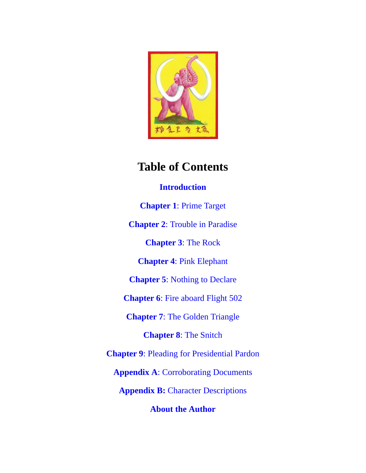

#### **Table of Contents**

#### **[Introduction](#page-4-0)**

**[Chapter](#page-5-0) 1**: Prime [Target](#page-5-0) **[Chapter](#page-17-0) 2**: Trouble in [Paradise](#page-17-0) **[Chapter](#page-24-0) 3**: The [Rock](#page-24-0) **[Chapter](#page--1-0) 4**: Pink [Elephant](#page--1-0) **[Chapter](#page--1-0) 5**: [Nothing](#page--1-0) to Declare **[Chapter](#page--1-0) 6**: Fire [aboard](#page--1-0) Flight 502 **[Chapter](#page--1-0) 7**: The Golden [Triangle](#page--1-0) **[Chapter](#page--1-0) 8**: The [Snitch](#page--1-0) **[Chapter](#page--1-0) 9**: Pleading for [Presidential](#page--1-0) Pardon **[Appendix](#page--1-1) A**: [Corroborating](#page--1-1) Documents **[Appendix](#page--1-1) B:** Character [Descriptions](#page--1-1)

**About the [Author](#page--1-1)**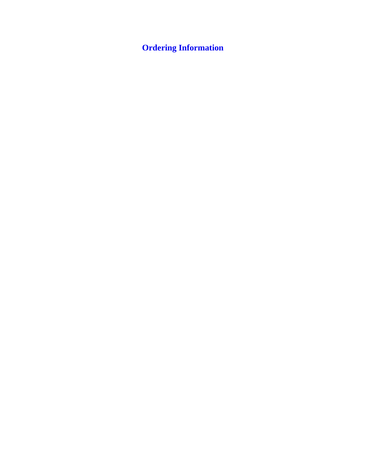**Ordering [Information](#page--1-1)**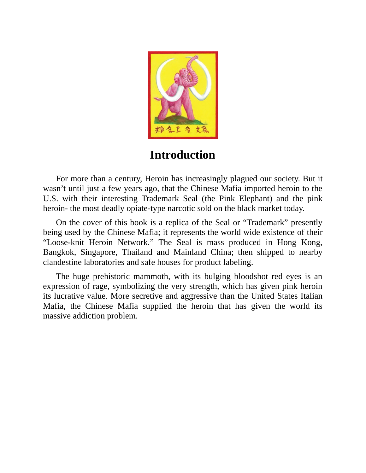<span id="page-4-0"></span>

#### **Introduction**

For more than a century, Heroin has increasingly plagued our society. But it wasn't until just a few years ago, that the Chinese Mafia imported heroin to the U.S. with their interesting Trademark Seal (the Pink Elephant) and the pink heroin- the most deadly opiate-type narcotic sold on the black market today.

On the cover of this book is a replica of the Seal or "Trademark" presently being used by the Chinese Mafia; it represents the world wide existence of their "Loose-knit Heroin Network." The Seal is mass produced in Hong Kong, Bangkok, Singapore, Thailand and Mainland China; then shipped to nearby clandestine laboratories and safe houses for product labeling.

The huge prehistoric mammoth, with its bulging bloodshot red eyes is an expression of rage, symbolizing the very strength, which has given pink heroin its lucrative value. More secretive and aggressive than the United States Italian Mafia, the Chinese Mafia supplied the heroin that has given the world its massive addiction problem.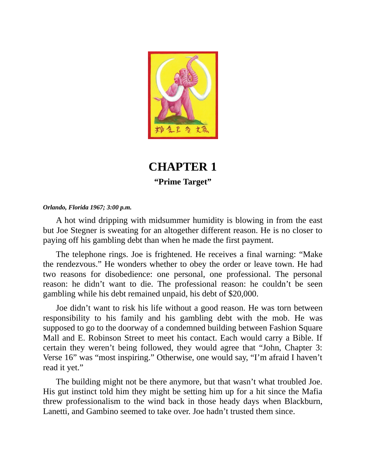<span id="page-5-0"></span>

#### **CHAPTER 1 "Prime Target"**

#### *Orlando, Florida 1967; 3:00 p.m.*

A hot wind dripping with midsummer humidity is blowing in from the east but Joe Stegner is sweating for an altogether different reason. He is no closer to paying off his gambling debt than when he made the first payment.

The telephone rings. Joe is frightened. He receives a final warning: "Make the rendezvous." He wonders whether to obey the order or leave town. He had two reasons for disobedience: one personal, one professional. The personal reason: he didn't want to die. The professional reason: he couldn't be seen gambling while his debt remained unpaid, his debt of \$20,000.

Joe didn't want to risk his life without a good reason. He was torn between responsibility to his family and his gambling debt with the mob. He was supposed to go to the doorway of a condemned building between Fashion Square Mall and E. Robinson Street to meet his contact. Each would carry a Bible. If certain they weren't being followed, they would agree that "John, Chapter 3: Verse 16" was "most inspiring." Otherwise, one would say, "I'm afraid I haven't read it yet."

The building might not be there anymore, but that wasn't what troubled Joe. His gut instinct told him they might be setting him up for a hit since the Mafia threw professionalism to the wind back in those heady days when Blackburn, Lanetti, and Gambino seemed to take over. Joe hadn't trusted them since.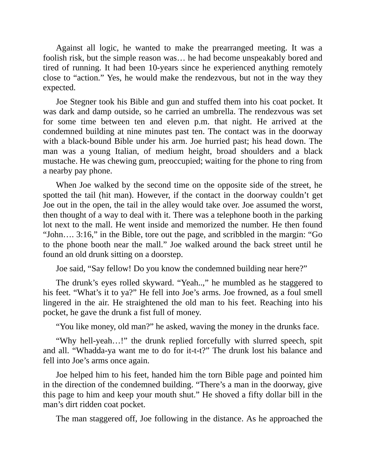Against all logic, he wanted to make the prearranged meeting. It was a foolish risk, but the simple reason was… he had become unspeakably bored and tired of running. It had been 10-years since he experienced anything remotely close to "action." Yes, he would make the rendezvous, but not in the way they expected.

Joe Stegner took his Bible and gun and stuffed them into his coat pocket. It was dark and damp outside, so he carried an umbrella. The rendezvous was set for some time between ten and eleven p.m. that night. He arrived at the condemned building at nine minutes past ten. The contact was in the doorway with a black-bound Bible under his arm. Joe hurried past; his head down. The man was a young Italian, of medium height, broad shoulders and a black mustache. He was chewing gum, preoccupied; waiting for the phone to ring from a nearby pay phone.

When Joe walked by the second time on the opposite side of the street, he spotted the tail (hit man). However, if the contact in the doorway couldn't get Joe out in the open, the tail in the alley would take over. Joe assumed the worst, then thought of a way to deal with it. There was a telephone booth in the parking lot next to the mall. He went inside and memorized the number. He then found "John…. 3:16," in the Bible, tore out the page, and scribbled in the margin: "Go to the phone booth near the mall." Joe walked around the back street until he found an old drunk sitting on a doorstep.

Joe said, "Say fellow! Do you know the condemned building near here?"

The drunk's eyes rolled skyward. "Yeah..," he mumbled as he staggered to his feet. "What's it to ya?" He fell into Joe's arms. Joe frowned, as a foul smell lingered in the air. He straightened the old man to his feet. Reaching into his pocket, he gave the drunk a fist full of money.

"You like money, old man?" he asked, waving the money in the drunks face.

"Why hell-yeah…!" the drunk replied forcefully with slurred speech, spit and all. "Whadda-ya want me to do for it-t-t?" The drunk lost his balance and fell into Joe's arms once again.

Joe helped him to his feet, handed him the torn Bible page and pointed him in the direction of the condemned building. "There's a man in the doorway, give this page to him and keep your mouth shut." He shoved a fifty dollar bill in the man's dirt ridden coat pocket.

The man staggered off, Joe following in the distance. As he approached the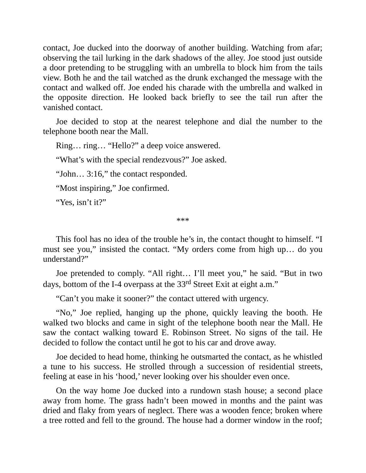contact, Joe ducked into the doorway of another building. Watching from afar; observing the tail lurking in the dark shadows of the alley. Joe stood just outside a door pretending to be struggling with an umbrella to block him from the tails view. Both he and the tail watched as the drunk exchanged the message with the contact and walked off. Joe ended his charade with the umbrella and walked in the opposite direction. He looked back briefly to see the tail run after the vanished contact.

Joe decided to stop at the nearest telephone and dial the number to the telephone booth near the Mall.

Ring… ring… "Hello?" a deep voice answered.

"What's with the special rendezvous?" Joe asked.

"John… 3:16," the contact responded.

"Most inspiring," Joe confirmed.

"Yes, isn't it?"

\*\*\*

This fool has no idea of the trouble he's in, the contact thought to himself. "I must see you," insisted the contact. "My orders come from high up… do you understand?"

Joe pretended to comply. "All right… I'll meet you," he said. "But in two days, bottom of the I-4 overpass at the 33 $^{\rm rd}$  Street Exit at eight a.m."

"Can't you make it sooner?" the contact uttered with urgency.

"No," Joe replied, hanging up the phone, quickly leaving the booth. He walked two blocks and came in sight of the telephone booth near the Mall. He saw the contact walking toward E. Robinson Street. No signs of the tail. He decided to follow the contact until he got to his car and drove away.

Joe decided to head home, thinking he outsmarted the contact, as he whistled a tune to his success. He strolled through a succession of residential streets, feeling at ease in his 'hood,' never looking over his shoulder even once.

On the way home Joe ducked into a rundown stash house; a second place away from home. The grass hadn't been mowed in months and the paint was dried and flaky from years of neglect. There was a wooden fence; broken where a tree rotted and fell to the ground. The house had a dormer window in the roof;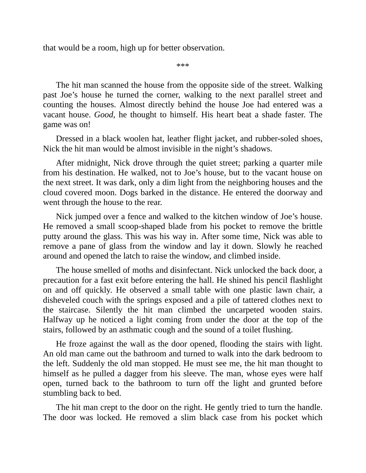that would be a room, high up for better observation.

\*\*\*

The hit man scanned the house from the opposite side of the street. Walking past Joe's house he turned the corner, walking to the next parallel street and counting the houses. Almost directly behind the house Joe had entered was a vacant house. *Good*, he thought to himself. His heart beat a shade faster. The game was on!

Dressed in a black woolen hat, leather flight jacket, and rubber-soled shoes, Nick the hit man would be almost invisible in the night's shadows.

After midnight, Nick drove through the quiet street; parking a quarter mile from his destination. He walked, not to Joe's house, but to the vacant house on the next street. It was dark, only a dim light from the neighboring houses and the cloud covered moon. Dogs barked in the distance. He entered the doorway and went through the house to the rear.

Nick jumped over a fence and walked to the kitchen window of Joe's house. He removed a small scoop-shaped blade from his pocket to remove the brittle putty around the glass. This was his way in. After some time, Nick was able to remove a pane of glass from the window and lay it down. Slowly he reached around and opened the latch to raise the window, and climbed inside.

The house smelled of moths and disinfectant. Nick unlocked the back door, a precaution for a fast exit before entering the hall. He shined his pencil flashlight on and off quickly. He observed a small table with one plastic lawn chair, a disheveled couch with the springs exposed and a pile of tattered clothes next to the staircase. Silently the hit man climbed the uncarpeted wooden stairs. Halfway up he noticed a light coming from under the door at the top of the stairs, followed by an asthmatic cough and the sound of a toilet flushing.

He froze against the wall as the door opened, flooding the stairs with light. An old man came out the bathroom and turned to walk into the dark bedroom to the left. Suddenly the old man stopped. He must see me, the hit man thought to himself as he pulled a dagger from his sleeve. The man, whose eyes were half open, turned back to the bathroom to turn off the light and grunted before stumbling back to bed.

The hit man crept to the door on the right. He gently tried to turn the handle. The door was locked. He removed a slim black case from his pocket which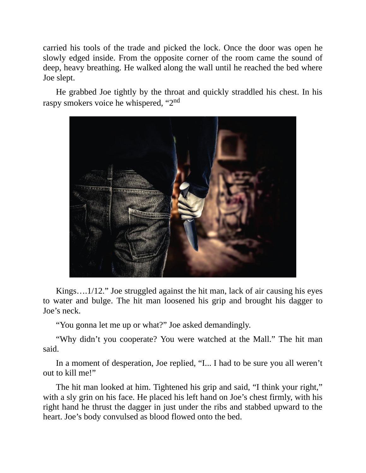carried his tools of the trade and picked the lock. Once the door was open he slowly edged inside. From the opposite corner of the room came the sound of deep, heavy breathing. He walked along the wall until he reached the bed where Joe slept.

He grabbed Joe tightly by the throat and quickly straddled his chest. In his raspy smokers voice he whispered, "2<sup>nd</sup>



Kings….1/12." Joe struggled against the hit man, lack of air causing his eyes to water and bulge. The hit man loosened his grip and brought his dagger to Joe's neck.

"You gonna let me up or what?" Joe asked demandingly.

"Why didn't you cooperate? You were watched at the Mall." The hit man said.

In a moment of desperation, Joe replied, "I... I had to be sure you all weren't out to kill me!"

The hit man looked at him. Tightened his grip and said, "I think your right," with a sly grin on his face. He placed his left hand on Joe's chest firmly, with his right hand he thrust the dagger in just under the ribs and stabbed upward to the heart. Joe's body convulsed as blood flowed onto the bed.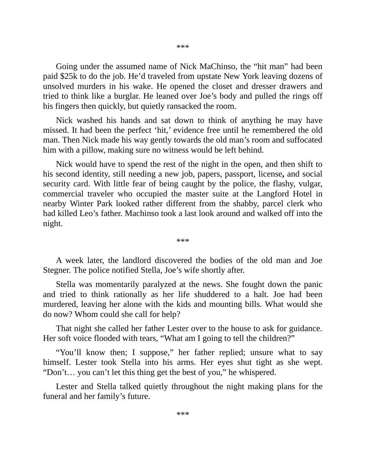Going under the assumed name of Nick MaChinso, the "hit man" had been paid \$25k to do the job. He'd traveled from upstate New York leaving dozens of unsolved murders in his wake. He opened the closet and dresser drawers and tried to think like a burglar. He leaned over Joe's body and pulled the rings off his fingers then quickly, but quietly ransacked the room.

Nick washed his hands and sat down to think of anything he may have missed. It had been the perfect 'hit,' evidence free until he remembered the old man. Then Nick made his way gently towards the old man's room and suffocated him with a pillow, making sure no witness would be left behind.

Nick would have to spend the rest of the night in the open, and then shift to his second identity, still needing a new job, papers, passport, license**,** and social security card. With little fear of being caught by the police, the flashy, vulgar, commercial traveler who occupied the master suite at the Langford Hotel in nearby Winter Park looked rather different from the shabby, parcel clerk who had killed Leo's father. Machinso took a last look around and walked off into the night.

\*\*\*

A week later, the landlord discovered the bodies of the old man and Joe Stegner. The police notified Stella, Joe's wife shortly after.

Stella was momentarily paralyzed at the news. She fought down the panic and tried to think rationally as her life shuddered to a halt. Joe had been murdered, leaving her alone with the kids and mounting bills. What would she do now? Whom could she call for help?

That night she called her father Lester over to the house to ask for guidance. Her soft voice flooded with tears, "What am I going to tell the children?"

"You'll know then; I suppose," her father replied; unsure what to say himself. Lester took Stella into his arms. Her eyes shut tight as she wept. "Don't… you can't let this thing get the best of you," he whispered.

Lester and Stella talked quietly throughout the night making plans for the funeral and her family's future.

\*\*\*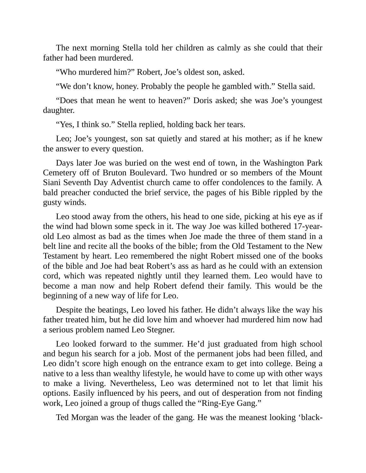The next morning Stella told her children as calmly as she could that their father had been murdered.

"Who murdered him?" Robert, Joe's oldest son, asked.

"We don't know, honey. Probably the people he gambled with." Stella said.

"Does that mean he went to heaven?" Doris asked; she was Joe's youngest daughter.

"Yes, I think so." Stella replied, holding back her tears.

Leo; Joe's youngest, son sat quietly and stared at his mother; as if he knew the answer to every question.

Days later Joe was buried on the west end of town, in the Washington Park Cemetery off of Bruton Boulevard. Two hundred or so members of the Mount Siani Seventh Day Adventist church came to offer condolences to the family. A bald preacher conducted the brief service, the pages of his Bible rippled by the gusty winds.

Leo stood away from the others, his head to one side, picking at his eye as if the wind had blown some speck in it. The way Joe was killed bothered 17-yearold Leo almost as bad as the times when Joe made the three of them stand in a belt line and recite all the books of the bible; from the Old Testament to the New Testament by heart. Leo remembered the night Robert missed one of the books of the bible and Joe had beat Robert's ass as hard as he could with an extension cord, which was repeated nightly until they learned them. Leo would have to become a man now and help Robert defend their family. This would be the beginning of a new way of life for Leo.

Despite the beatings, Leo loved his father. He didn't always like the way his father treated him, but he did love him and whoever had murdered him now had a serious problem named Leo Stegner.

Leo looked forward to the summer. He'd just graduated from high school and begun his search for a job. Most of the permanent jobs had been filled, and Leo didn't score high enough on the entrance exam to get into college. Being a native to a less than wealthy lifestyle, he would have to come up with other ways to make a living. Nevertheless, Leo was determined not to let that limit his options. Easily influenced by his peers, and out of desperation from not finding work, Leo joined a group of thugs called the "Ring-Eye Gang."

Ted Morgan was the leader of the gang. He was the meanest looking 'black-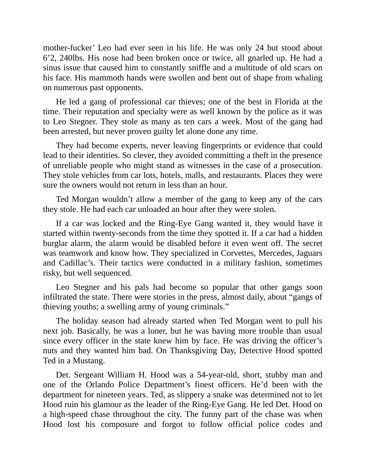mother-fucker' Leo had ever seen in his life. He was only 24 but stood about 6'2, 240lbs. His nose had been broken once or twice, all gnarled up. He had a sinus issue that caused him to constantly sniffle and a multitude of old scars on his face. His mammoth hands were swollen and bent out of shape from whaling on numerous past opponents.

He led a gang of professional car thieves; one of the best in Florida at the time. Their reputation and specialty were as well known by the police as it was to Leo Stegner. They stole as many as ten cars a week. Most of the gang had been arrested, but never proven guilty let alone done any time.

They had become experts, never leaving fingerprints or evidence that could lead to their identities. So clever, they avoided committing a theft in the presence of unreliable people who might stand as witnesses in the case of a prosecution. They stole vehicles from car lots, hotels, malls, and restaurants. Places they were sure the owners would not return in less than an hour.

Ted Morgan wouldn't allow a member of the gang to keep any of the cars they stole. He had each car unloaded an hour after they were stolen.

If a car was locked and the Ring-Eye Gang wanted it, they would have it started within twenty-seconds from the time they spotted it. If a car had a hidden burglar alarm, the alarm would be disabled before it even went off. The secret was teamwork and know how. They specialized in Corvettes, Mercedes, Jaguars and Cadillac's. Their tactics were conducted in a military fashion, sometimes risky, but well sequenced.

Leo Stegner and his pals had become so popular that other gangs soon infiltrated the state. There were stories in the press, almost daily, about "gangs of thieving youths; a swelling army of young criminals."

The holiday season had already started when Ted Morgan went to pull his next job. Basically, he was a loner, but he was having more trouble than usual since every officer in the state knew him by face. He was driving the officer's nuts and they wanted him bad. On Thanksgiving Day, Detective Hood spotted Ted in a Mustang.

Det. Sergeant William H. Hood was a 54-year-old, short, stubby man and one of the Orlando Police Department's finest officers. He'd been with the department for nineteen years. Ted, as slippery a snake was determined not to let Hood ruin his glamour as the leader of the Ring-Eye Gang. He led Det. Hood on a high-speed chase throughout the city. The funny part of the chase was when Hood lost his composure and forgot to follow official police codes and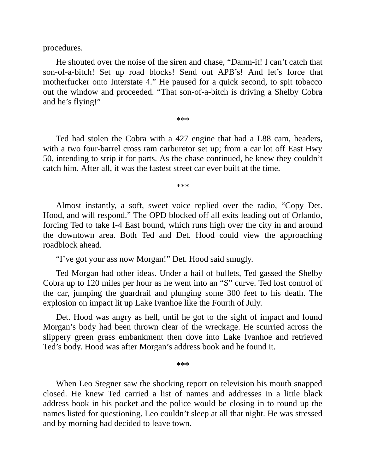procedures.

He shouted over the noise of the siren and chase, "Damn-it! I can't catch that son-of-a-bitch! Set up road blocks! Send out APB's! And let's force that motherfucker onto Interstate 4." He paused for a quick second, to spit tobacco out the window and proceeded. "That son-of-a-bitch is driving a Shelby Cobra and he's flying!"

\*\*\*

Ted had stolen the Cobra with a 427 engine that had a L88 cam, headers, with a two four-barrel cross ram carburetor set up; from a car lot off East Hwy 50, intending to strip it for parts. As the chase continued, he knew they couldn't catch him. After all, it was the fastest street car ever built at the time.

\*\*\*

Almost instantly, a soft, sweet voice replied over the radio, "Copy Det. Hood, and will respond." The OPD blocked off all exits leading out of Orlando, forcing Ted to take I-4 East bound, which runs high over the city in and around the downtown area. Both Ted and Det. Hood could view the approaching roadblock ahead.

"I've got your ass now Morgan!" Det. Hood said smugly.

Ted Morgan had other ideas. Under a hail of bullets, Ted gassed the Shelby Cobra up to 120 miles per hour as he went into an "S" curve. Ted lost control of the car, jumping the guardrail and plunging some 300 feet to his death. The explosion on impact lit up Lake Ivanhoe like the Fourth of July.

Det. Hood was angry as hell, until he got to the sight of impact and found Morgan's body had been thrown clear of the wreckage. He scurried across the slippery green grass embankment then dove into Lake Ivanhoe and retrieved Ted's body. Hood was after Morgan's address book and he found it.

**\*\*\***

When Leo Stegner saw the shocking report on television his mouth snapped closed. He knew Ted carried a list of names and addresses in a little black address book in his pocket and the police would be closing in to round up the names listed for questioning. Leo couldn't sleep at all that night. He was stressed and by morning had decided to leave town.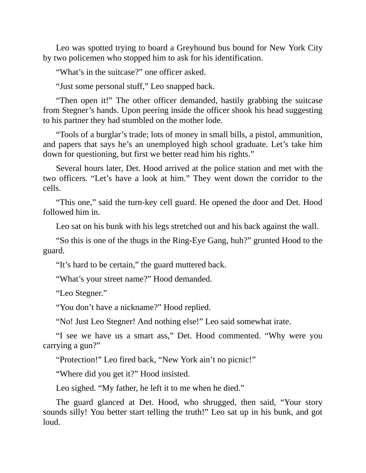Leo was spotted trying to board a Greyhound bus bound for New York City by two policemen who stopped him to ask for his identification.

"What's in the suitcase?" one officer asked.

"Just some personal stuff," Leo snapped back.

"Then open it!" The other officer demanded, hastily grabbing the suitcase from Stegner's hands. Upon peering inside the officer shook his head suggesting to his partner they had stumbled on the mother lode.

"Tools of a burglar's trade; lots of money in small bills, a pistol, ammunition, and papers that says he's an unemployed high school graduate. Let's take him down for questioning, but first we better read him his rights."

Several hours later, Det. Hood arrived at the police station and met with the two officers. "Let's have a look at him." They went down the corridor to the cells.

"This one," said the turn-key cell guard. He opened the door and Det. Hood followed him in.

Leo sat on his bunk with his legs stretched out and his back against the wall.

"So this is one of the thugs in the Ring-Eye Gang, huh?" grunted Hood to the guard.

"It's hard to be certain," the guard muttered back.

"What's your street name?" Hood demanded.

"Leo Stegner."

"You don't have a nickname?" Hood replied.

"No! Just Leo Stegner! And nothing else!" Leo said somewhat irate.

"I see we have us a smart ass," Det. Hood commented. "Why were you carrying a gun?"

"Protection!" Leo fired back, "New York ain't no picnic!"

"Where did you get it?" Hood insisted.

Leo sighed. "My father, he left it to me when he died."

The guard glanced at Det. Hood, who shrugged, then said, "Your story sounds silly! You better start telling the truth!" Leo sat up in his bunk, and got loud.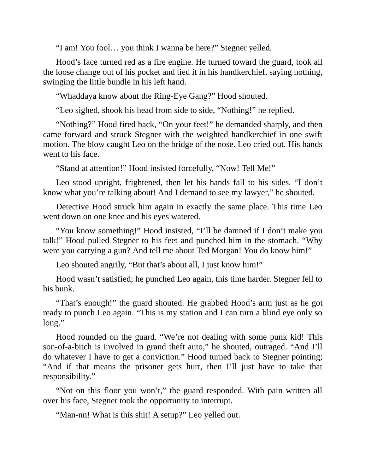"I am! You fool… you think I wanna be here?" Stegner yelled.

Hood's face turned red as a fire engine. He turned toward the guard, took all the loose change out of his pocket and tied it in his handkerchief, saying nothing, swinging the little bundle in his left hand.

"Whaddaya know about the Ring-Eye Gang?" Hood shouted.

"Leo sighed, shook his head from side to side, "Nothing!" he replied.

"Nothing?" Hood fired back, "On your feet!" he demanded sharply, and then came forward and struck Stegner with the weighted handkerchief in one swift motion. The blow caught Leo on the bridge of the nose. Leo cried out. His hands went to his face.

"Stand at attention!" Hood insisted forcefully, "Now! Tell Me!"

Leo stood upright, frightened, then let his hands fall to his sides. "I don't know what you're talking about! And I demand to see my lawyer," he shouted.

Detective Hood struck him again in exactly the same place. This time Leo went down on one knee and his eyes watered.

"You know something!" Hood insisted, "I'll be damned if I don't make you talk!" Hood pulled Stegner to his feet and punched him in the stomach. "Why were you carrying a gun? And tell me about Ted Morgan! You do know him!"

Leo shouted angrily, "But that's about all, I just know him!"

Hood wasn't satisfied; he punched Leo again, this time harder. Stegner fell to his bunk.

"That's enough!" the guard shouted. He grabbed Hood's arm just as he got ready to punch Leo again. "This is my station and I can turn a blind eye only so long."

Hood rounded on the guard. "We're not dealing with some punk kid! This son-of-a-bitch is involved in grand theft auto," he shouted, outraged. "And I'll do whatever I have to get a conviction." Hood turned back to Stegner pointing; "And if that means the prisoner gets hurt, then I'll just have to take that responsibility."

"Not on this floor you won't," the guard responded. With pain written all over his face, Stegner took the opportunity to interrupt.

"Man-nn! What is this shit! A setup?" Leo yelled out.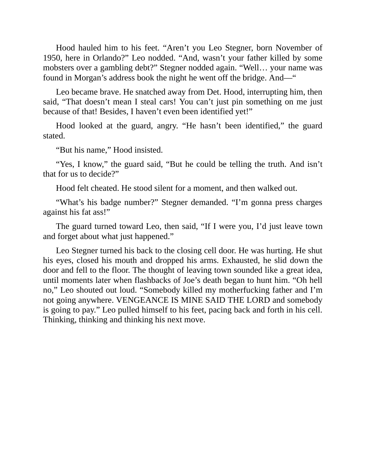Hood hauled him to his feet. "Aren't you Leo Stegner, born November of 1950, here in Orlando?" Leo nodded. "And, wasn't your father killed by some mobsters over a gambling debt?" Stegner nodded again. "Well… your name was found in Morgan's address book the night he went off the bridge. And—"

Leo became brave. He snatched away from Det. Hood, interrupting him, then said, "That doesn't mean I steal cars! You can't just pin something on me just because of that! Besides, I haven't even been identified yet!"

Hood looked at the guard, angry. "He hasn't been identified," the guard stated.

"But his name," Hood insisted.

"Yes, I know," the guard said, "But he could be telling the truth. And isn't that for us to decide?"

Hood felt cheated. He stood silent for a moment, and then walked out.

"What's his badge number?" Stegner demanded. "I'm gonna press charges against his fat ass!"

The guard turned toward Leo, then said, "If I were you, I'd just leave town and forget about what just happened."

Leo Stegner turned his back to the closing cell door. He was hurting. He shut his eyes, closed his mouth and dropped his arms. Exhausted, he slid down the door and fell to the floor. The thought of leaving town sounded like a great idea, until moments later when flashbacks of Joe's death began to hunt him. "Oh hell no," Leo shouted out loud. "Somebody killed my motherfucking father and I'm not going anywhere. VENGEANCE IS MINE SAID THE LORD and somebody is going to pay." Leo pulled himself to his feet, pacing back and forth in his cell. Thinking, thinking and thinking his next move.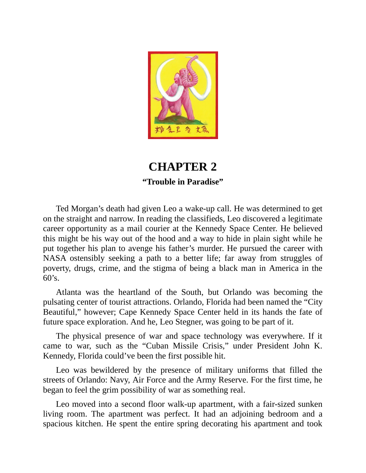<span id="page-17-0"></span>

#### **CHAPTER 2 "Trouble in Paradise"**

Ted Morgan's death had given Leo a wake-up call. He was determined to get on the straight and narrow. In reading the classifieds, Leo discovered a legitimate career opportunity as a mail courier at the Kennedy Space Center. He believed this might be his way out of the hood and a way to hide in plain sight while he put together his plan to avenge his father's murder. He pursued the career with NASA ostensibly seeking a path to a better life; far away from struggles of poverty, drugs, crime, and the stigma of being a black man in America in the 60's.

Atlanta was the heartland of the South, but Orlando was becoming the pulsating center of tourist attractions. Orlando, Florida had been named the "City Beautiful," however; Cape Kennedy Space Center held in its hands the fate of future space exploration. And he, Leo Stegner, was going to be part of it.

The physical presence of war and space technology was everywhere. If it came to war, such as the "Cuban Missile Crisis," under President John K. Kennedy, Florida could've been the first possible hit.

Leo was bewildered by the presence of military uniforms that filled the streets of Orlando: Navy, Air Force and the Army Reserve. For the first time, he began to feel the grim possibility of war as something real.

Leo moved into a second floor walk-up apartment, with a fair-sized sunken living room. The apartment was perfect. It had an adjoining bedroom and a spacious kitchen. He spent the entire spring decorating his apartment and took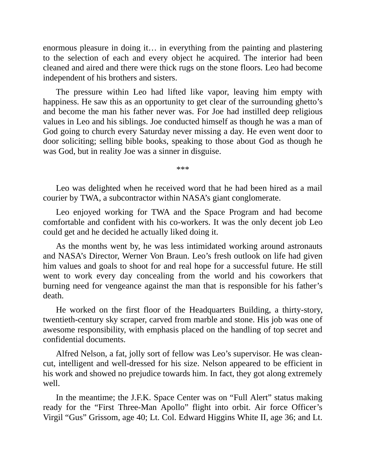enormous pleasure in doing it… in everything from the painting and plastering to the selection of each and every object he acquired. The interior had been cleaned and aired and there were thick rugs on the stone floors. Leo had become independent of his brothers and sisters.

The pressure within Leo had lifted like vapor, leaving him empty with happiness. He saw this as an opportunity to get clear of the surrounding ghetto's and become the man his father never was. For Joe had instilled deep religious values in Leo and his siblings. Joe conducted himself as though he was a man of God going to church every Saturday never missing a day. He even went door to door soliciting; selling bible books, speaking to those about God as though he was God, but in reality Joe was a sinner in disguise.

\*\*\*

Leo was delighted when he received word that he had been hired as a mail courier by TWA, a subcontractor within NASA's giant conglomerate.

Leo enjoyed working for TWA and the Space Program and had become comfortable and confident with his co-workers. It was the only decent job Leo could get and he decided he actually liked doing it.

As the months went by, he was less intimidated working around astronauts and NASA's Director, Werner Von Braun. Leo's fresh outlook on life had given him values and goals to shoot for and real hope for a successful future. He still went to work every day concealing from the world and his coworkers that burning need for vengeance against the man that is responsible for his father's death.

He worked on the first floor of the Headquarters Building, a thirty-story, twentieth-century sky scraper, carved from marble and stone. His job was one of awesome responsibility, with emphasis placed on the handling of top secret and confidential documents.

Alfred Nelson, a fat, jolly sort of fellow was Leo's supervisor. He was cleancut, intelligent and well-dressed for his size. Nelson appeared to be efficient in his work and showed no prejudice towards him. In fact, they got along extremely well.

In the meantime; the J.F.K. Space Center was on "Full Alert" status making ready for the "First Three-Man Apollo" flight into orbit. Air force Officer's Virgil "Gus" Grissom, age 40; Lt. Col. Edward Higgins White II, age 36; and Lt.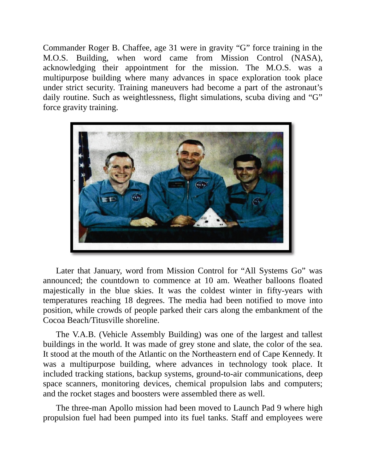Commander Roger B. Chaffee, age 31 were in gravity "G" force training in the M.O.S. Building, when word came from Mission Control (NASA), acknowledging their appointment for the mission. The M.O.S. was a multipurpose building where many advances in space exploration took place under strict security. Training maneuvers had become a part of the astronaut's daily routine. Such as weightlessness, flight simulations, scuba diving and "G" force gravity training.



Later that January, word from Mission Control for "All Systems Go" was announced; the countdown to commence at 10 am. Weather balloons floated majestically in the blue skies. It was the coldest winter in fifty-years with temperatures reaching 18 degrees. The media had been notified to move into position, while crowds of people parked their cars along the embankment of the Cocoa Beach/Titusville shoreline.

The V.A.B. (Vehicle Assembly Building) was one of the largest and tallest buildings in the world. It was made of grey stone and slate, the color of the sea. It stood at the mouth of the Atlantic on the Northeastern end of Cape Kennedy. It was a multipurpose building, where advances in technology took place. It included tracking stations, backup systems, ground-to-air communications, deep space scanners, monitoring devices, chemical propulsion labs and computers; and the rocket stages and boosters were assembled there as well.

The three-man Apollo mission had been moved to Launch Pad 9 where high propulsion fuel had been pumped into its fuel tanks. Staff and employees were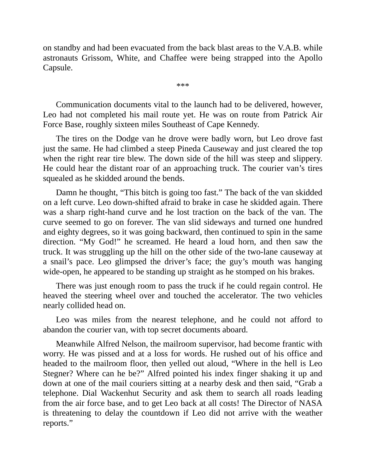on standby and had been evacuated from the back blast areas to the V.A.B. while astronauts Grissom, White, and Chaffee were being strapped into the Apollo Capsule.

\*\*\*

Communication documents vital to the launch had to be delivered, however, Leo had not completed his mail route yet. He was on route from Patrick Air Force Base, roughly sixteen miles Southeast of Cape Kennedy.

The tires on the Dodge van he drove were badly worn, but Leo drove fast just the same. He had climbed a steep Pineda Causeway and just cleared the top when the right rear tire blew. The down side of the hill was steep and slippery. He could hear the distant roar of an approaching truck. The courier van's tires squealed as he skidded around the bends.

Damn he thought, "This bitch is going too fast." The back of the van skidded on a left curve. Leo down-shifted afraid to brake in case he skidded again. There was a sharp right-hand curve and he lost traction on the back of the van. The curve seemed to go on forever. The van slid sideways and turned one hundred and eighty degrees, so it was going backward, then continued to spin in the same direction. "My God!" he screamed. He heard a loud horn, and then saw the truck. It was struggling up the hill on the other side of the two-lane causeway at a snail's pace. Leo glimpsed the driver's face; the guy's mouth was hanging wide-open, he appeared to be standing up straight as he stomped on his brakes.

There was just enough room to pass the truck if he could regain control. He heaved the steering wheel over and touched the accelerator. The two vehicles nearly collided head on.

Leo was miles from the nearest telephone, and he could not afford to abandon the courier van, with top secret documents aboard.

Meanwhile Alfred Nelson, the mailroom supervisor, had become frantic with worry. He was pissed and at a loss for words. He rushed out of his office and headed to the mailroom floor, then yelled out aloud, "Where in the hell is Leo Stegner? Where can he be?" Alfred pointed his index finger shaking it up and down at one of the mail couriers sitting at a nearby desk and then said, "Grab a telephone. Dial Wackenhut Security and ask them to search all roads leading from the air force base, and to get Leo back at all costs! The Director of NASA is threatening to delay the countdown if Leo did not arrive with the weather reports."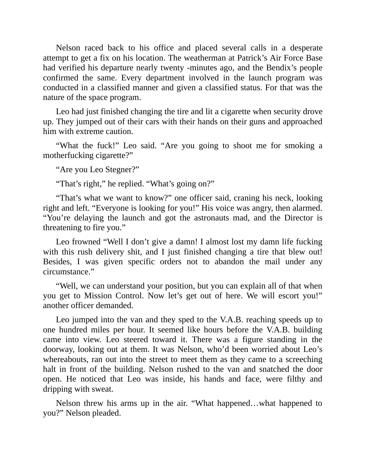Nelson raced back to his office and placed several calls in a desperate attempt to get a fix on his location. The weatherman at Patrick's Air Force Base had verified his departure nearly twenty -minutes ago, and the Bendix's people confirmed the same. Every department involved in the launch program was conducted in a classified manner and given a classified status. For that was the nature of the space program.

Leo had just finished changing the tire and lit a cigarette when security drove up. They jumped out of their cars with their hands on their guns and approached him with extreme caution.

"What the fuck!" Leo said. "Are you going to shoot me for smoking a motherfucking cigarette?"

"Are you Leo Stegner?"

"That's right," he replied. "What's going on?"

"That's what we want to know?" one officer said, craning his neck, looking right and left. "Everyone is looking for you!" His voice was angry, then alarmed. "You're delaying the launch and got the astronauts mad, and the Director is threatening to fire you."

Leo frowned "Well I don't give a damn! I almost lost my damn life fucking with this rush delivery shit, and I just finished changing a tire that blew out! Besides, I was given specific orders not to abandon the mail under any circumstance."

"Well, we can understand your position, but you can explain all of that when you get to Mission Control. Now let's get out of here. We will escort you!" another officer demanded.

Leo jumped into the van and they sped to the V.A.B. reaching speeds up to one hundred miles per hour. It seemed like hours before the V.A.B. building came into view. Leo steered toward it. There was a figure standing in the doorway, looking out at them. It was Nelson, who'd been worried about Leo's whereabouts, ran out into the street to meet them as they came to a screeching halt in front of the building. Nelson rushed to the van and snatched the door open. He noticed that Leo was inside, his hands and face, were filthy and dripping with sweat.

Nelson threw his arms up in the air. "What happened…what happened to you?" Nelson pleaded.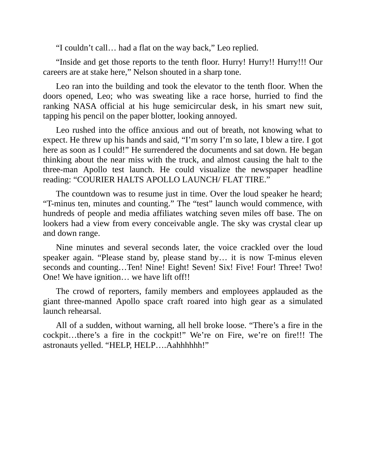"I couldn't call… had a flat on the way back," Leo replied.

"Inside and get those reports to the tenth floor. Hurry! Hurry!! Hurry!!! Our careers are at stake here," Nelson shouted in a sharp tone.

Leo ran into the building and took the elevator to the tenth floor. When the doors opened, Leo; who was sweating like a race horse, hurried to find the ranking NASA official at his huge semicircular desk, in his smart new suit, tapping his pencil on the paper blotter, looking annoyed.

Leo rushed into the office anxious and out of breath, not knowing what to expect. He threw up his hands and said, "I'm sorry I'm so late, I blew a tire. I got here as soon as I could!" He surrendered the documents and sat down. He began thinking about the near miss with the truck, and almost causing the halt to the three-man Apollo test launch. He could visualize the newspaper headline reading: "COURIER HALTS APOLLO LAUNCH/ FLAT TIRE."

The countdown was to resume just in time. Over the loud speaker he heard; "T-minus ten, minutes and counting." The "test" launch would commence, with hundreds of people and media affiliates watching seven miles off base. The on lookers had a view from every conceivable angle. The sky was crystal clear up and down range.

Nine minutes and several seconds later, the voice crackled over the loud speaker again. "Please stand by, please stand by… it is now T-minus eleven seconds and counting...Ten! Nine! Eight! Seven! Six! Five! Four! Three! Two! One! We have ignition… we have lift off!!

The crowd of reporters, family members and employees applauded as the giant three-manned Apollo space craft roared into high gear as a simulated launch rehearsal.

All of a sudden, without warning, all hell broke loose. "There's a fire in the cockpit…there's a fire in the cockpit!" We're on Fire, we're on fire!!! The astronauts yelled. "HELP, HELP….Aahhhhhh!"